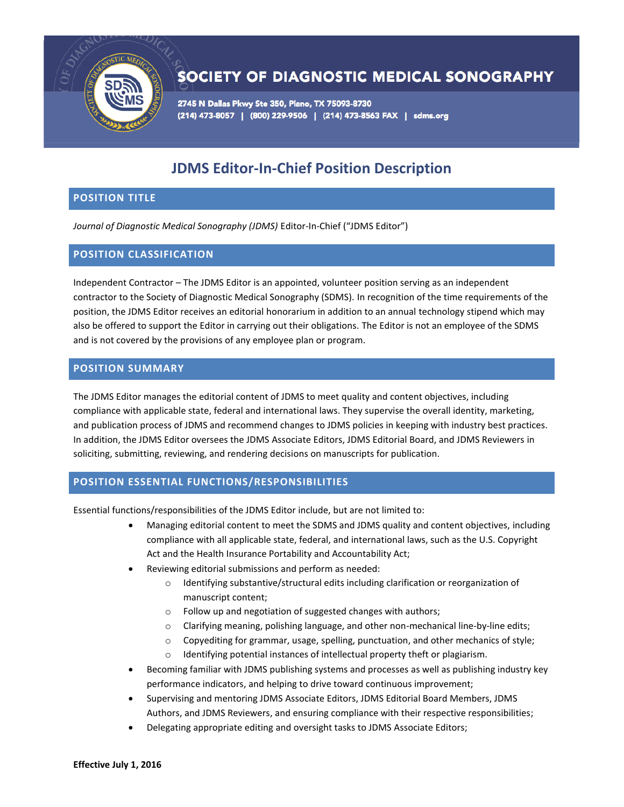

# SOCIETY OF DIAGNOSTIC MEDICAL SONOGRAPHY

2745 N Dallas Pkwy Ste 350, Plano, TX 75093-8730 (214) 473-8057 | (800) 229-9506 | (214) 473-8563 FAX | sdms.org

# **JDMS Editor-In-Chief Position Description**

# **POSITION TITLE**

*Journal of Diagnostic Medical Sonography (JDMS)* Editor-In-Chief ("JDMS Editor")

## **POSITION CLASSIFICATION**

Independent Contractor – The JDMS Editor is an appointed, volunteer position serving as an independent contractor to the Society of Diagnostic Medical Sonography (SDMS). In recognition of the time requirements of the position, the JDMS Editor receives an editorial honorarium in addition to an annual technology stipend which may also be offered to support the Editor in carrying out their obligations. The Editor is not an employee of the SDMS and is not covered by the provisions of any employee plan or program.

### **POSITION SUMMARY**

The JDMS Editor manages the editorial content of JDMS to meet quality and content objectives, including compliance with applicable state, federal and international laws. They supervise the overall identity, marketing, and publication process of JDMS and recommend changes to JDMS policies in keeping with industry best practices. In addition, the JDMS Editor oversees the JDMS Associate Editors, JDMS Editorial Board, and JDMS Reviewers in soliciting, submitting, reviewing, and rendering decisions on manuscripts for publication.

# **POSITION ESSENTIAL FUNCTIONS/RESPONSIBILITIES**

Essential functions/responsibilities of the JDMS Editor include, but are not limited to:

- Managing editorial content to meet the SDMS and JDMS quality and content objectives, including compliance with all applicable state, federal, and international laws, such as the U.S. Copyright Act and the Health Insurance Portability and Accountability Act;
- Reviewing editorial submissions and perform as needed:
	- o Identifying substantive/structural edits including clarification or reorganization of manuscript content;
	- o Follow up and negotiation of suggested changes with authors;
	- o Clarifying meaning, polishing language, and other non-mechanical line-by-line edits;
	- $\circ$  Copyediting for grammar, usage, spelling, punctuation, and other mechanics of style;
	- o Identifying potential instances of intellectual property theft or plagiarism.
- Becoming familiar with JDMS publishing systems and processes as well as publishing industry key performance indicators, and helping to drive toward continuous improvement;
- Supervising and mentoring JDMS Associate Editors, JDMS Editorial Board Members, JDMS Authors, and JDMS Reviewers, and ensuring compliance with their respective responsibilities;
- Delegating appropriate editing and oversight tasks to JDMS Associate Editors;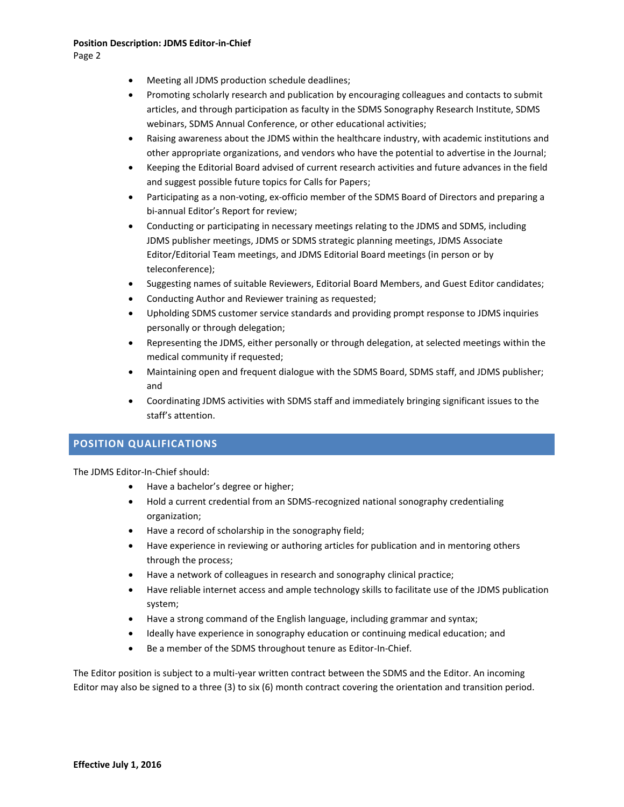Page 2

- Meeting all JDMS production schedule deadlines;
- Promoting scholarly research and publication by encouraging colleagues and contacts to submit articles, and through participation as faculty in the SDMS Sonography Research Institute, SDMS webinars, SDMS Annual Conference, or other educational activities;
- Raising awareness about the JDMS within the healthcare industry, with academic institutions and other appropriate organizations, and vendors who have the potential to advertise in the Journal;
- Keeping the Editorial Board advised of current research activities and future advances in the field and suggest possible future topics for Calls for Papers;
- Participating as a non-voting, ex-officio member of the SDMS Board of Directors and preparing a bi-annual Editor's Report for review;
- Conducting or participating in necessary meetings relating to the JDMS and SDMS, including JDMS publisher meetings, JDMS or SDMS strategic planning meetings, JDMS Associate Editor/Editorial Team meetings, and JDMS Editorial Board meetings (in person or by teleconference);
- Suggesting names of suitable Reviewers, Editorial Board Members, and Guest Editor candidates;
- Conducting Author and Reviewer training as requested;
- Upholding SDMS customer service standards and providing prompt response to JDMS inquiries personally or through delegation;
- Representing the JDMS, either personally or through delegation, at selected meetings within the medical community if requested;
- Maintaining open and frequent dialogue with the SDMS Board, SDMS staff, and JDMS publisher; and
- Coordinating JDMS activities with SDMS staff and immediately bringing significant issues to the staff's attention.

## **POSITION QUALIFICATIONS**

The JDMS Editor-In-Chief should:

- Have a bachelor's degree or higher;
- Hold a current credential from an SDMS-recognized national sonography credentialing organization;
- Have a record of scholarship in the sonography field;
- Have experience in reviewing or authoring articles for publication and in mentoring others through the process;
- Have a network of colleagues in research and sonography clinical practice;
- Have reliable internet access and ample technology skills to facilitate use of the JDMS publication system;
- Have a strong command of the English language, including grammar and syntax;
- Ideally have experience in sonography education or continuing medical education; and
- Be a member of the SDMS throughout tenure as Editor-In-Chief.

The Editor position is subject to a multi-year written contract between the SDMS and the Editor. An incoming Editor may also be signed to a three (3) to six (6) month contract covering the orientation and transition period.